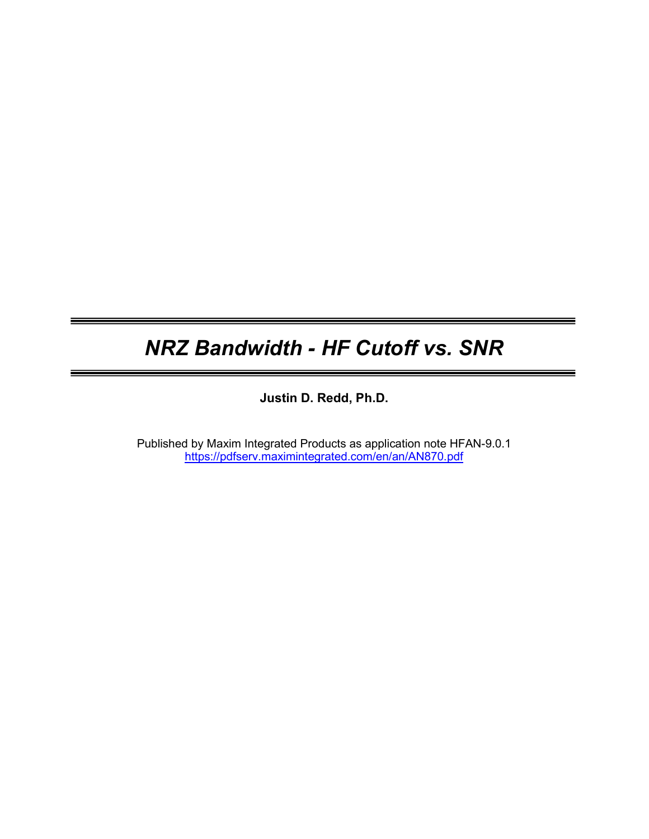# NRZ Bandwidth - HF Cutoff vs. SNR

=

Justin D. Redd, Ph.D.

Published by Maxim Integrated Products as application note HFAN-9.0.1 https://pdfserv.maximintegrated.com/en/an/AN870.pdf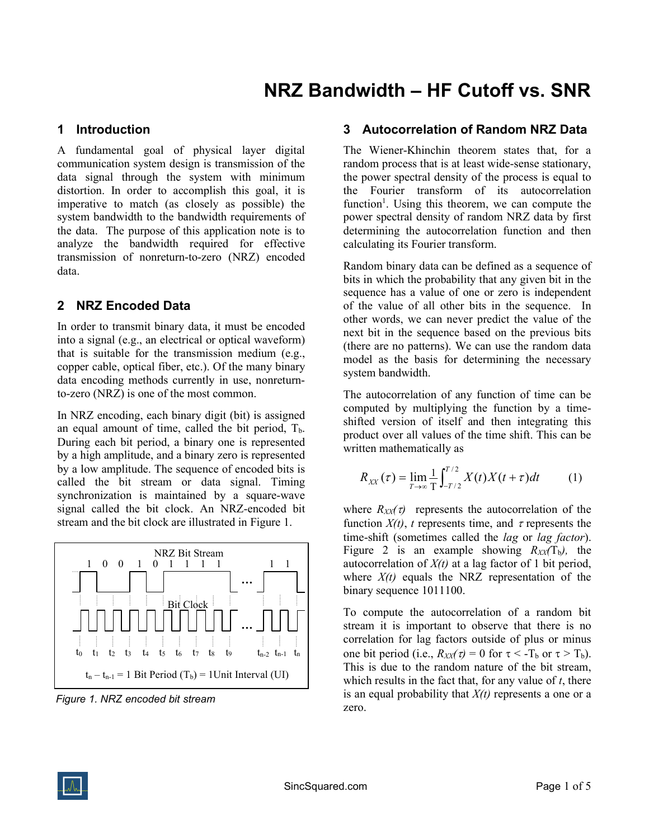### 1 Introduction

A fundamental goal of physical layer digital communication system design is transmission of the data signal through the system with minimum distortion. In order to accomplish this goal, it is imperative to match (as closely as possible) the system bandwidth to the bandwidth requirements of the data. The purpose of this application note is to analyze the bandwidth required for effective transmission of nonreturn-to-zero (NRZ) encoded data.

## 2 NRZ Encoded Data

In order to transmit binary data, it must be encoded into a signal (e.g., an electrical or optical waveform) that is suitable for the transmission medium (e.g., copper cable, optical fiber, etc.). Of the many binary data encoding methods currently in use, nonreturnto-zero (NRZ) is one of the most common.

In NRZ encoding, each binary digit (bit) is assigned an equal amount of time, called the bit period,  $T<sub>b</sub>$ . During each bit period, a binary one is represented by a high amplitude, and a binary zero is represented by a low amplitude. The sequence of encoded bits is called the bit stream or data signal. Timing synchronization is maintained by a square-wave signal called the bit clock. An NRZ-encoded bit stream and the bit clock are illustrated in Figure 1.



Figure 1. NRZ encoded bit stream

#### 3 Autocorrelation of Random NRZ Data

The Wiener-Khinchin theorem states that, for a random process that is at least wide-sense stationary, the power spectral density of the process is equal to the Fourier transform of its autocorrelation function<sup>1</sup>. Using this theorem, we can compute the power spectral density of random NRZ data by first determining the autocorrelation function and then calculating its Fourier transform.

Random binary data can be defined as a sequence of bits in which the probability that any given bit in the sequence has a value of one or zero is independent of the value of all other bits in the sequence. In other words, we can never predict the value of the next bit in the sequence based on the previous bits (there are no patterns). We can use the random data model as the basis for determining the necessary system bandwidth.

The autocorrelation of any function of time can be computed by multiplying the function by a timeshifted version of itself and then integrating this product over all values of the time shift. This can be written mathematically as

$$
R_{XX}(\tau) = \lim_{T \to \infty} \frac{1}{T} \int_{-T/2}^{T/2} X(t) X(t + \tau) dt \tag{1}
$$

where  $R_{XX}(\tau)$  represents the autocorrelation of the function  $X(t)$ , t represents time, and  $\tau$  represents the time-shift (sometimes called the *lag* or *lag factor*). Figure 2 is an example showing  $R_{XX}(T_b)$ , the autocorrelation of  $X(t)$  at a lag factor of 1 bit period, where  $X(t)$  equals the NRZ representation of the binary sequence 1011100.

To compute the autocorrelation of a random bit stream it is important to observe that there is no correlation for lag factors outside of plus or minus one bit period (i.e.,  $R_{XX}(\tau) = 0$  for  $\tau < -T_b$  or  $\tau > T_b$ ). This is due to the random nature of the bit stream, which results in the fact that, for any value of  $t$ , there is an equal probability that  $X(t)$  represents a one or a zero.

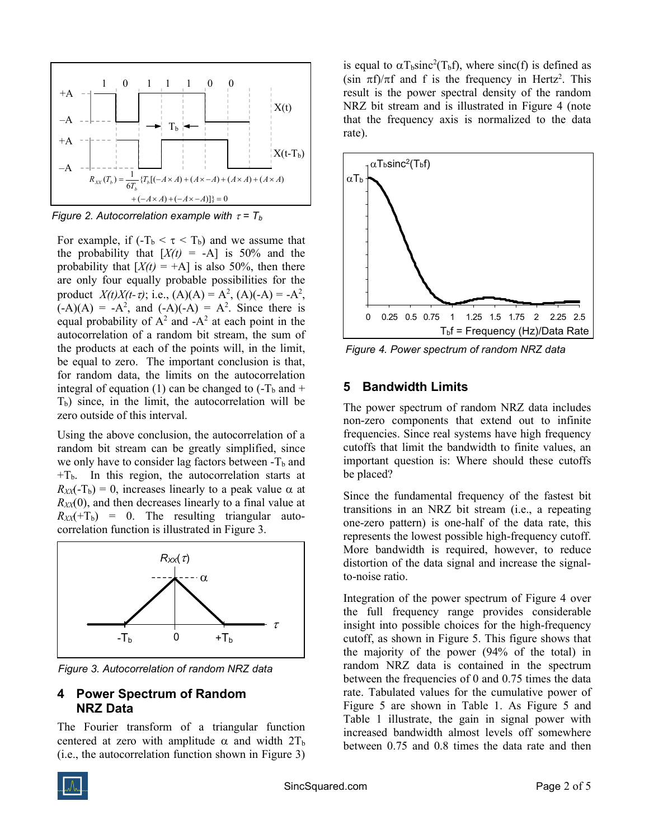

Figure 2. Autocorrelation example with  $\tau = T_b$ 

For example, if  $(-T_b < \tau < T_b)$  and we assume that the probability that  $[X(t) = -A]$  is 50% and the probability that  $[X(t) = +A]$  is also 50%, then there are only four equally probable possibilities for the product  $X(t)X(t-\tau)$ ; i.e.,  $(A)(A) = A^2$ ,  $(A)(-A) = -A^2$ ,  $(-A)(A) = -A^2$ , and  $(-A)(-A) = A^2$ . Since there is equal probability of  $A^2$  and  $-A^2$  at each point in the autocorrelation of a random bit stream, the sum of the products at each of the points will, in the limit, be equal to zero. The important conclusion is that, for random data, the limits on the autocorrelation integral of equation (1) can be changed to  $(-T_b$  and  $+$  $T<sub>b</sub>$ ) since, in the limit, the autocorrelation will be zero outside of this interval.

Using the above conclusion, the autocorrelation of a random bit stream can be greatly simplified, since we only have to consider lag factors between  $-T_b$  and  $+T_b$ . In this region, the autocorrelation starts at  $R_{XX}(-T_b) = 0$ , increases linearly to a peak value  $\alpha$  at  $R_{XX}(0)$ , and then decreases linearly to a final value at  $R_{XX}(+T_b) = 0$ . The resulting triangular autocorrelation function is illustrated in Figure 3.



Figure 3. Autocorrelation of random NRZ data

#### 4 Power Spectrum of Random NRZ Data

The Fourier transform of a triangular function centered at zero with amplitude  $\alpha$  and width  $2T_b$ (i.e., the autocorrelation function shown in Figure 3) is equal to  $\alpha T_b sinc^2(T_b f)$ , where sinc(f) is defined as  $(\sin \pi f)/\pi f$  and f is the frequency in Hertz<sup>2</sup>. This result is the power spectral density of the random NRZ bit stream and is illustrated in Figure 4 (note that the frequency axis is normalized to the data rate).



Figure 4. Power spectrum of random NRZ data

# 5 Bandwidth Limits

The power spectrum of random NRZ data includes non-zero components that extend out to infinite frequencies. Since real systems have high frequency cutoffs that limit the bandwidth to finite values, an important question is: Where should these cutoffs be placed?

Since the fundamental frequency of the fastest bit transitions in an NRZ bit stream (i.e., a repeating one-zero pattern) is one-half of the data rate, this represents the lowest possible high-frequency cutoff. More bandwidth is required, however, to reduce distortion of the data signal and increase the signalto-noise ratio.

Integration of the power spectrum of Figure 4 over the full frequency range provides considerable insight into possible choices for the high-frequency cutoff, as shown in Figure 5. This figure shows that the majority of the power (94% of the total) in random NRZ data is contained in the spectrum between the frequencies of 0 and 0.75 times the data rate. Tabulated values for the cumulative power of Figure 5 are shown in Table 1. As Figure 5 and Table 1 illustrate, the gain in signal power with increased bandwidth almost levels off somewhere between 0.75 and 0.8 times the data rate and then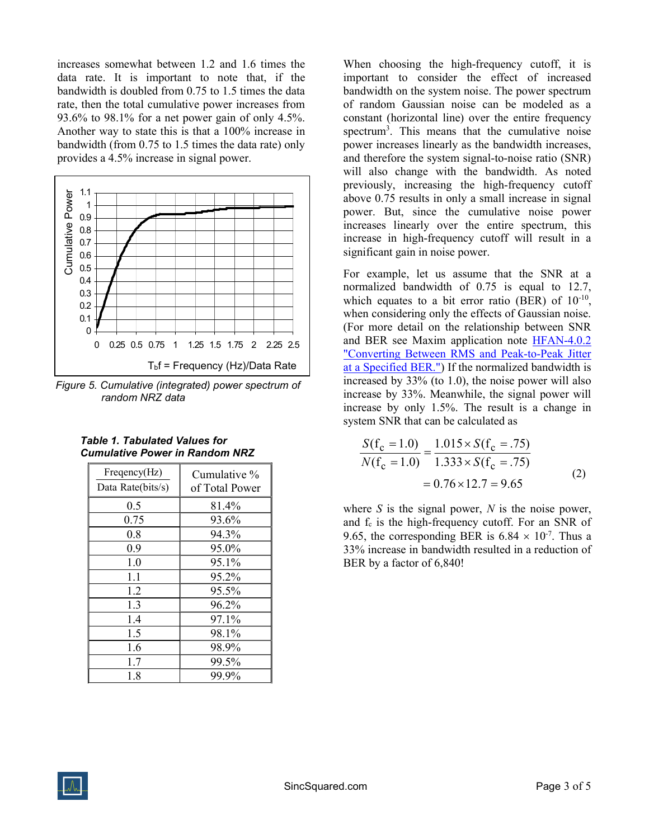increases somewhat between 1.2 and 1.6 times the data rate. It is important to note that, if the bandwidth is doubled from 0.75 to 1.5 times the data rate, then the total cumulative power increases from 93.6% to 98.1% for a net power gain of only 4.5%. Another way to state this is that a 100% increase in bandwidth (from 0.75 to 1.5 times the data rate) only provides a 4.5% increase in signal power.



Figure 5. Cumulative (integrated) power spectrum of random NRZ data

| Table 1. Tabulated Values for         |  |
|---------------------------------------|--|
| <b>Cumulative Power in Random NRZ</b> |  |

| Freqency(Hz)<br>Data Rate(bits/s) | Cumulative %<br>of Total Power |
|-----------------------------------|--------------------------------|
| 0.5                               | 81.4%                          |
| 0.75                              | 93.6%                          |
| 0.8                               | 94.3%                          |
| 0.9                               | 95.0%                          |
| 1.0                               | 95.1%                          |
| 1.1                               | 95.2%                          |
| 1.2                               | 95.5%                          |
| 1.3                               | 96.2%                          |
| 1.4                               | 97.1%                          |
| 1.5                               | 98.1%                          |
| 1.6                               | 98.9%                          |
| 1.7                               | 99.5%                          |
| 1.8                               | 99.9%                          |

When choosing the high-frequency cutoff, it is important to consider the effect of increased bandwidth on the system noise. The power spectrum of random Gaussian noise can be modeled as a constant (horizontal line) over the entire frequency spectrum<sup>3</sup>. This means that the cumulative noise power increases linearly as the bandwidth increases, and therefore the system signal-to-noise ratio (SNR) will also change with the bandwidth. As noted previously, increasing the high-frequency cutoff above 0.75 results in only a small increase in signal power. But, since the cumulative noise power increases linearly over the entire spectrum, this increase in high-frequency cutoff will result in a significant gain in noise power.

For example, let us assume that the SNR at a normalized bandwidth of 0.75 is equal to 12.7, which equates to a bit error ratio (BER) of  $10^{-10}$ , when considering only the effects of Gaussian noise. (For more detail on the relationship between SNR and BER see Maxim application note HFAN-4.0.2 "Converting Between RMS and Peak-to-Peak Jitter at a Specified BER.") If the normalized bandwidth is increased by 33% (to 1.0), the noise power will also increase by 33%. Meanwhile, the signal power will increase by only 1.5%. The result is a change in system SNR that can be calculated as

$$
\frac{S(f_c = 1.0)}{N(f_c = 1.0)} = \frac{1.015 \times S(f_c = .75)}{1.333 \times S(f_c = .75)}
$$
  
= 0.76 × 12.7 = 9.65 (2)

where S is the signal power,  $N$  is the noise power, and  $f_c$  is the high-frequency cutoff. For an SNR of 9.65, the corresponding BER is 6.84  $\times$  10<sup>-7</sup>. Thus a 33% increase in bandwidth resulted in a reduction of BER by a factor of 6,840!